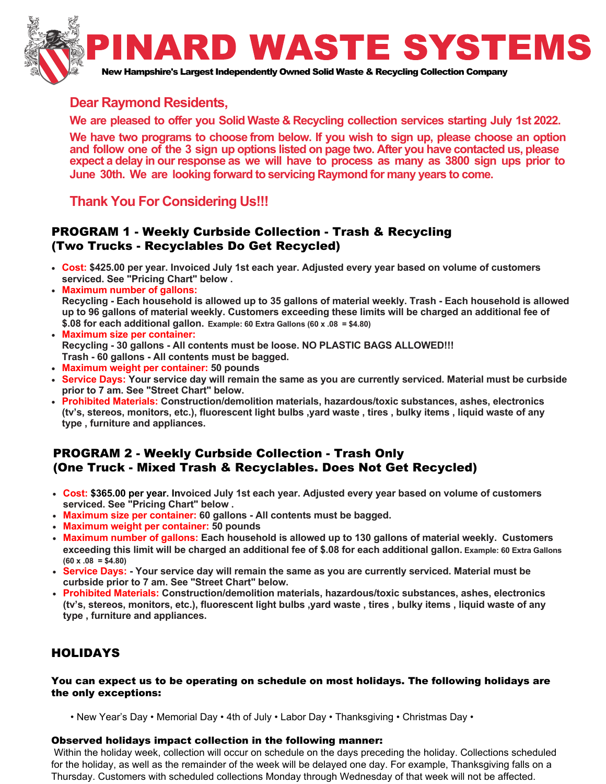

## **Dear Raymond Residents,**

**We are pleased to offer you Solid Waste & Recycling collection services starting July 1st 2022.** 

**We have two programs to choose from below. If you wish to sign up, please choose an option and follow one of the 3 sign up options listed on page two. After you have contacted us, please expect a delay in our response as we will have to process as many as <sup>3800</sup> sign ups prior to June 30th. We are looking forward to servicing Raymond for many years to come.**

# **Thank You For Considering Us!!!**

### PROGRAM 1 - Weekly Curbside Collection - Trash & Recycling (Two Trucks - Recyclables Do Get Recycled)

- **Cost: \$425.00 per year. Invoiced July 1st each year. Adjusted every year based on volume of customersserviced. See "Pricing Chart" below .**
- • **Maximum number of gallons: Recycling - Each household is allowed up to 35 gallons of material weekly. Trash - Each household is allowedup to 96 gallons of material weekly. Customers exceeding these limits will be charged an additional fee of\$.08 for each additional gallon. Example: 60 Extra Gallons (60 x .08 = \$4.80)**
- **Maximum size per container: Recycling - 30 gallons - All contents must be loose. NO PLASTIC BAGS ALLOWED!!!Trash - 60 gallons - All contents must be bagged.**
- **Maximum weight per container: 50 pounds**
- **Service Days: Your service day will remain the same as you are currently serviced. Material must be curbside prior to 7 am. See "Street Chart" below.**
- **Prohibited Materials: Construction/demolition materials, hazardous/toxic substances, ashes, electronics (tv's, stereos, monitors, etc.), fluorescent light bulbs ,yard waste , tires , bulky items , liquid waste of anytype , furniture and appliances.**

## PROGRAM 2 - Weekly Curbside Collection - Trash Only(One Truck - Mixed Trash & Recyclables. Does Not Get Recycled)

- **Cost: \$365.00 per year. Invoiced July 1st each year. Adjusted every year based on volume of customersserviced. See "Pricing Chart" below .**
- **Maximum size per container: 60 gallons All contents must be bagged.**
- **Maximum weight per container: 50 pounds**
- **Maximum number of gallons: Each household is allowed up to 130 gallons of material weekly. Customers exceeding this limit will be charged an additional fee of \$.08 for each additional gallon. Example: 60 Extra Gallons(60 x .08 = \$4.80)**
- **Service Days: Your service day will remain the same as you are currently serviced. Material must becurbside prior to 7 am. See "Street Chart" below.**
- **Prohibited Materials: Construction/demolition materials, hazardous/toxic substances, ashes, electronics (tv's, stereos, monitors, etc.), fluorescent light bulbs ,yard waste , tires , bulky items , liquid waste of anytype , furniture and appliances.**

## HOLIDAYS

#### You can expect us to be operating on schedule on most holidays. The following holidays are the only exceptions:

• New Year's Day • Memorial Day • 4th of July • Labor Day • Thanksgiving • Christmas Day •

#### Observed holidays impact collection in the following manner:

 Within the holiday week, collection will occur on schedule on the days preceding the holiday. Collections scheduled for the holiday, as well as the remainder of the week will be delayed one day. For example, Thanksgiving falls on a Thursday. Customers with scheduled collections Monday through Wednesday of that week will not be affected.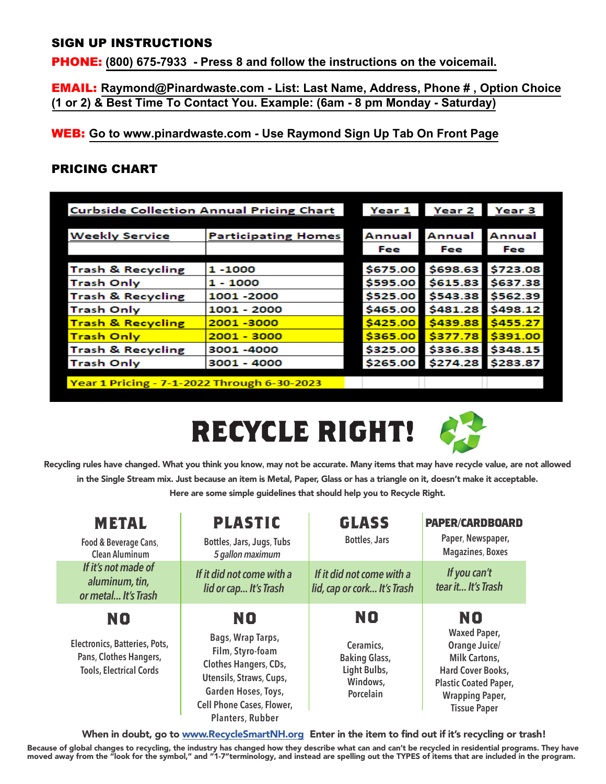## SIGN UP INSTRUCTIONS

PHONE: **(800) 675-7933 - Press 8 and follow the instructions on the voicemail.**

EMAIL: **Raymond@Pinardwaste.com - List: Last Name, Address, Phone # , Option Choice(1 or 2) & Best Time To Contact You. Example: (6am - 8 pm Monday - Saturday)**

WEB: **Go to www.pinardwaste.com - Use Raymond Sign Up Tab On Front Page**

## PRICING CHART

| <b>Curbside Collection Annual Pricing Chart</b> | Year 1                     | Year 2   | Year 3   |          |
|-------------------------------------------------|----------------------------|----------|----------|----------|
|                                                 |                            |          |          |          |
| <b>Weekly Service</b>                           | <b>Participating Homes</b> | Annual   | Annual   | Annual   |
|                                                 |                            | Fee      | Fee      | Fee      |
| <b>Trash &amp; Recycling</b>                    | $1 - 1000$                 | \$675.00 | \$698.63 | \$723.08 |
| Trash Only                                      | 1 - 1000                   | \$595.00 | \$615.83 | \$637.38 |
| <b>Trash &amp; Recycling</b>                    | 1001 -2000                 | \$525.00 | \$543.38 | \$562.39 |
| <b>Trash Only</b>                               | 1001 - 2000                | \$465.00 | \$481.28 | \$498.12 |
| <u>Trash &amp; Recycling</u>                    | 2001-3000                  | \$425.00 | \$439.88 | \$455.27 |
| <mark>Trash Only</mark>                         | $2001 - 3000$              | \$365.00 | \$377.78 | \$391.00 |
| Trash & Recycling                               | 3001 -4000                 | \$325.00 | \$336.38 | \$348.15 |
| <b>Trash Only</b>                               | $3001 - 4000$              | \$265.00 | \$274.28 | \$283.87 |
| Year 1 Pricing - 7-1-2022 Through 6-30-2023     |                            |          |          |          |





Recycling rules have changed. What you think you know**,** may not be accurate. Many items that may have recycle value, are not allowedin the Single Stream mix. Just because an item is Metal, Paper, Glass or has a triangle on it, doesn't make it acceptable. Here are some simple guidelines that should help you to Recycle Right.

| <b>PLASTIC</b>                                                                                                                                       | <b>GLASS</b>                                                               | <b>PAPER/CARDBOARD</b><br>Paper, Newspaper,                                                                                                        |
|------------------------------------------------------------------------------------------------------------------------------------------------------|----------------------------------------------------------------------------|----------------------------------------------------------------------------------------------------------------------------------------------------|
| Bottles, Jars, Jugs, Tubs<br>5 gallon maximum                                                                                                        | <b>Bottles, Jars</b>                                                       |                                                                                                                                                    |
| If it did not come with a<br>lid or cap It's Trash                                                                                                   | If it did not come with a<br>lid, cap or cork It's Trash                   | If you can't<br>tear it It's Trash                                                                                                                 |
| NO                                                                                                                                                   | NO                                                                         | <b>NO</b>                                                                                                                                          |
| Bags, Wrap Tarps,<br>Film, Styro-foam<br>Clothes Hangers, CDs,<br>Utensils, Straws, Cups,<br>Garden Hoses, Toys,<br><b>Cell Phone Cases, Flower,</b> | Ceramics,<br><b>Baking Glass,</b><br>Light Bulbs,<br>Windows,<br>Porcelain | <b>Waxed Paper,</b><br>Orange Juice/<br><b>Milk Cartons,</b><br><b>Hard Cover Books,</b><br><b>Plastic Coated Paper,</b><br><b>Wrapping Paper,</b> |
|                                                                                                                                                      |                                                                            |                                                                                                                                                    |

When in doubt, go to <u>www.RecycleSmartNH.org</u> Enter in the item to find out if it's recycling or trash!

Because of global changes to recycling, the industry has changed how they describe what can and can't be recycled in residential programs. They have<br>moved away from the "look for the symbol," and "1-7"terminology, and inst